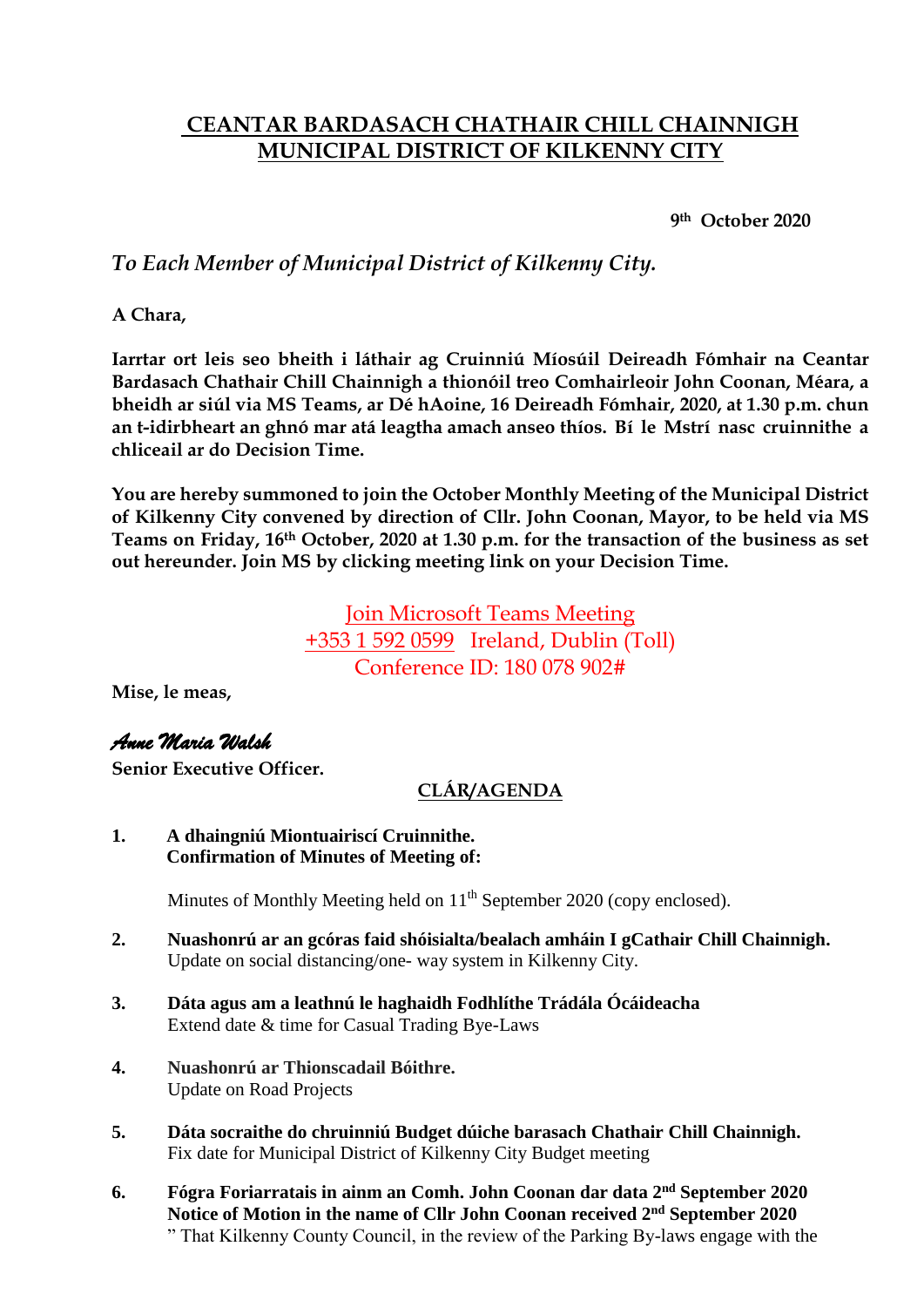# **CEANTAR BARDASACH CHATHAIR CHILL CHAINNIGH MUNICIPAL DISTRICT OF KILKENNY CITY**

**9th October 2020**

## *To Each Member of Municipal District of Kilkenny City.*

**A Chara,**

**Iarrtar ort leis seo bheith i láthair ag Cruinniú Míosúil Deireadh Fómhair na Ceantar Bardasach Chathair Chill Chainnigh a thionóil treo Comhairleoir John Coonan, Méara, a bheidh ar siúl via MS Teams, ar Dé hAoine, 16 Deireadh Fómhair, 2020, at 1.30 p.m. chun an t-idirbheart an ghnó mar atá leagtha amach anseo thíos. Bí le Mstrí nasc cruinnithe a chliceail ar do Decision Time.**

**You are hereby summoned to join the October Monthly Meeting of the Municipal District of Kilkenny City convened by direction of Cllr. John Coonan, Mayor, to be held via MS Teams on Friday, 16th October, 2020 at 1.30 p.m. for the transaction of the business as set out hereunder. Join MS by clicking meeting link on your Decision Time.**

> [Join Microsoft Teams Meeting](https://teams.microsoft.com/l/meetup-join/19%3ameeting_NTI1NjQwZGMtOTA0Yi00ZDAyLThhZTctMzJlMTRhMzcyZTk5%40thread.v2/0?context=%7b%22Tid%22%3a%226918322c-49f6-4d6a-a117-8688e17a7489%22%2c%22Oid%22%3a%2252c24c7d-24e1-4ccd-b6c5-ad1e0b11a7b5%22%7d) +353 [1 592 0599](tel:+353%201%20592%200599,,180078902# ) Ireland, Dublin (Toll) Conference ID: 180 078 902#

**Mise, le meas,**

## *Anne Maria Walsh*

**Senior Executive Officer.**

## **CLÁR/AGENDA**

**1. A dhaingniú Miontuairiscí Cruinnithe. Confirmation of Minutes of Meeting of:**

Minutes of Monthly Meeting held on 11<sup>th</sup> September 2020 (copy enclosed).

- **2. Nuashonrú ar an gcóras faid shóisialta/bealach amháin I gCathair Chill Chainnigh.** Update on social distancing/one- way system in Kilkenny City.
- **3. Dáta agus am a leathnú le haghaidh Fodhlíthe Trádála Ócáideacha** Extend date & time for Casual Trading Bye-Laws
- **4. Nuashonrú ar Thionscadail Bóithre.** Update on Road Projects
- **5. Dáta socraithe do chruinniú Budget dúiche barasach Chathair Chill Chainnigh.** Fix date for Municipal District of Kilkenny City Budget meeting
- **6. Fógra Foriarratais in ainm an Comh. John Coonan dar data 2 nd September 2020 Notice of Motion in the name of Cllr John Coonan received 2 nd September 2020** " That Kilkenny County Council, in the review of the Parking By-laws engage with the